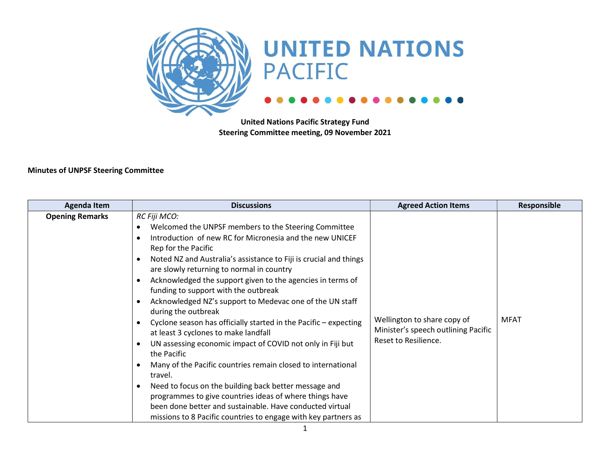

United Nations Pacific Strategy Fund Steering Committee meeting, 09 November 2021

#### Minutes of UNPSF Steering Committee

| <b>Agenda Item</b>     | <b>Discussions</b>                                                                                                                                                                                                                                                                                                                                                                                                                                                                                                                                                                                                                                                                                                                                                                                                                                                                                                                                                                       | <b>Agreed Action Items</b>                                                                 | Responsible |
|------------------------|------------------------------------------------------------------------------------------------------------------------------------------------------------------------------------------------------------------------------------------------------------------------------------------------------------------------------------------------------------------------------------------------------------------------------------------------------------------------------------------------------------------------------------------------------------------------------------------------------------------------------------------------------------------------------------------------------------------------------------------------------------------------------------------------------------------------------------------------------------------------------------------------------------------------------------------------------------------------------------------|--------------------------------------------------------------------------------------------|-------------|
| <b>Opening Remarks</b> | RC Fiji MCO:<br>Welcomed the UNPSF members to the Steering Committee<br>Introduction of new RC for Micronesia and the new UNICEF<br>Rep for the Pacific<br>Noted NZ and Australia's assistance to Fiji is crucial and things<br>are slowly returning to normal in country<br>Acknowledged the support given to the agencies in terms of<br>funding to support with the outbreak<br>Acknowledged NZ's support to Medevac one of the UN staff<br>during the outbreak<br>Cyclone season has officially started in the Pacific - expecting<br>at least 3 cyclones to make landfall<br>UN assessing economic impact of COVID not only in Fiji but<br>the Pacific<br>Many of the Pacific countries remain closed to international<br>travel.<br>Need to focus on the building back better message and<br>programmes to give countries ideas of where things have<br>been done better and sustainable. Have conducted virtual<br>missions to 8 Pacific countries to engage with key partners as | Wellington to share copy of<br>Minister's speech outlining Pacific<br>Reset to Resilience. | <b>MFAT</b> |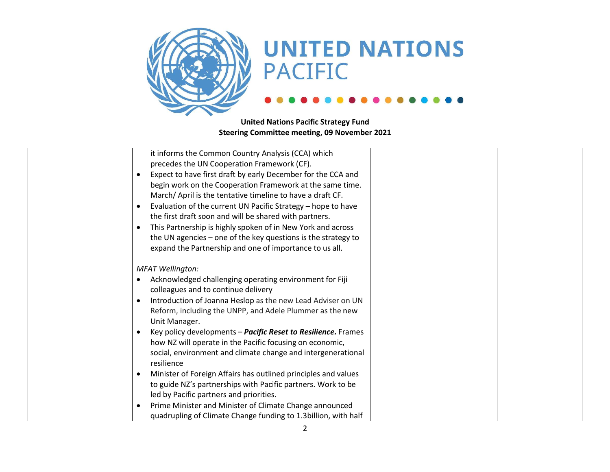

| it informs the Common Country Analysis (CCA) which                          |
|-----------------------------------------------------------------------------|
| precedes the UN Cooperation Framework (CF).                                 |
| Expect to have first draft by early December for the CCA and                |
| begin work on the Cooperation Framework at the same time.                   |
| March/April is the tentative timeline to have a draft CF.                   |
| Evaluation of the current UN Pacific Strategy - hope to have                |
| the first draft soon and will be shared with partners.                      |
| This Partnership is highly spoken of in New York and across                 |
| the UN agencies – one of the key questions is the strategy to               |
| expand the Partnership and one of importance to us all.                     |
|                                                                             |
| <b>MFAT Wellington:</b>                                                     |
| Acknowledged challenging operating environment for Fiji                     |
| colleagues and to continue delivery                                         |
| Introduction of Joanna Heslop as the new Lead Adviser on UN                 |
| Reform, including the UNPP, and Adele Plummer as the new                    |
| Unit Manager.                                                               |
| Key policy developments - Pacific Reset to Resilience. Frames               |
| how NZ will operate in the Pacific focusing on economic,                    |
| social, environment and climate change and intergenerational                |
| resilience                                                                  |
| Minister of Foreign Affairs has outlined principles and values<br>$\bullet$ |
| to guide NZ's partnerships with Pacific partners. Work to be                |
| led by Pacific partners and priorities.                                     |
| Prime Minister and Minister of Climate Change announced                     |
| quadrupling of Climate Change funding to 1.3 billion, with half             |
|                                                                             |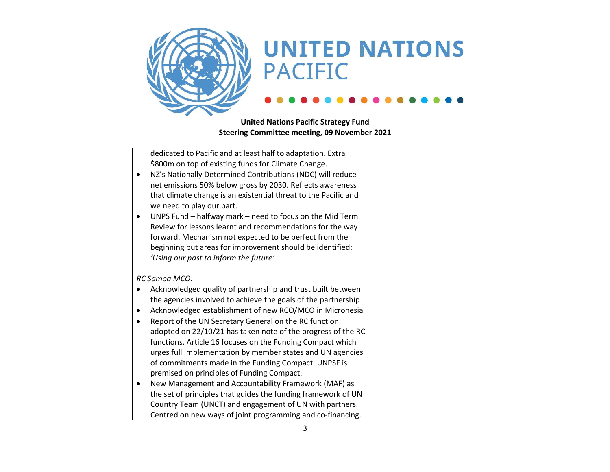

| dedicated to Pacific and at least half to adaptation. Extra              |
|--------------------------------------------------------------------------|
| \$800m on top of existing funds for Climate Change.                      |
| NZ's Nationally Determined Contributions (NDC) will reduce<br>$\bullet$  |
| net emissions 50% below gross by 2030. Reflects awareness                |
| that climate change is an existential threat to the Pacific and          |
| we need to play our part.                                                |
| UNPS Fund - halfway mark - need to focus on the Mid Term<br>$\bullet$    |
| Review for lessons learnt and recommendations for the way                |
| forward. Mechanism not expected to be perfect from the                   |
| beginning but areas for improvement should be identified:                |
| 'Using our past to inform the future'                                    |
|                                                                          |
| RC Samoa MCO:                                                            |
| Acknowledged quality of partnership and trust built between<br>$\bullet$ |
| the agencies involved to achieve the goals of the partnership            |
| Acknowledged establishment of new RCO/MCO in Micronesia<br>$\bullet$     |
| Report of the UN Secretary General on the RC function<br>$\bullet$       |
| adopted on 22/10/21 has taken note of the progress of the RC             |
| functions. Article 16 focuses on the Funding Compact which               |
|                                                                          |
| urges full implementation by member states and UN agencies               |
| of commitments made in the Funding Compact. UNPSF is                     |
| premised on principles of Funding Compact.                               |
| New Management and Accountability Framework (MAF) as<br>$\bullet$        |
| the set of principles that guides the funding framework of UN            |
| Country Team (UNCT) and engagement of UN with partners.                  |
| Centred on new ways of joint programming and co-financing.               |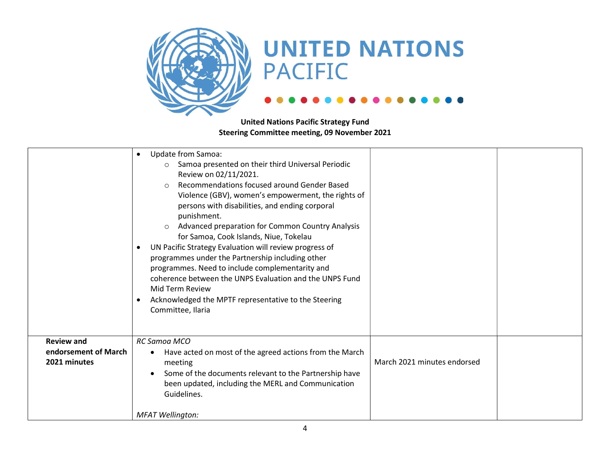

|                                                           | Update from Samoa:<br>Samoa presented on their third Universal Periodic<br>$\circ$<br>Review on 02/11/2021.<br>Recommendations focused around Gender Based<br>$\bigcirc$<br>Violence (GBV), women's empowerment, the rights of<br>persons with disabilities, and ending corporal<br>punishment.<br>Advanced preparation for Common Country Analysis<br>$\circ$<br>for Samoa, Cook Islands, Niue, Tokelau<br>UN Pacific Strategy Evaluation will review progress of<br>programmes under the Partnership including other<br>programmes. Need to include complementarity and<br>coherence between the UNPS Evaluation and the UNPS Fund<br>Mid Term Review<br>Acknowledged the MPTF representative to the Steering<br>Committee, Ilaria |                             |
|-----------------------------------------------------------|--------------------------------------------------------------------------------------------------------------------------------------------------------------------------------------------------------------------------------------------------------------------------------------------------------------------------------------------------------------------------------------------------------------------------------------------------------------------------------------------------------------------------------------------------------------------------------------------------------------------------------------------------------------------------------------------------------------------------------------|-----------------------------|
| <b>Review and</b><br>endorsement of March<br>2021 minutes | RC Samoa MCO<br>Have acted on most of the agreed actions from the March<br>٠<br>meeting<br>Some of the documents relevant to the Partnership have<br>been updated, including the MERL and Communication<br>Guidelines.<br><b>MFAT Wellington:</b>                                                                                                                                                                                                                                                                                                                                                                                                                                                                                    | March 2021 minutes endorsed |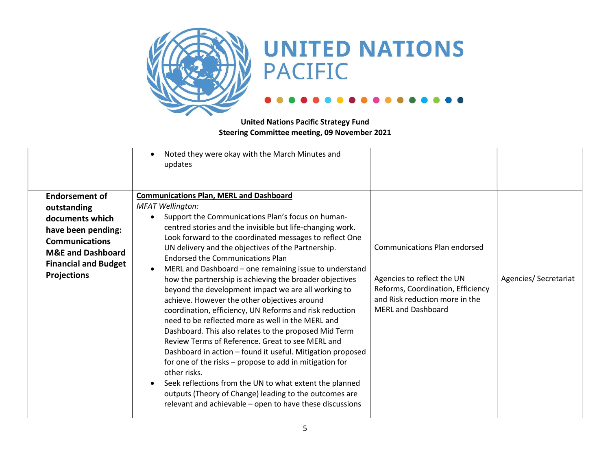

|                              | Noted they were okay with the March Minutes and<br>updates                                                                                                                                                                                                                                                                                                                                                                                                                                                                                                                                                                                                                                                                                                                      |                                                                                                                                |                      |
|------------------------------|---------------------------------------------------------------------------------------------------------------------------------------------------------------------------------------------------------------------------------------------------------------------------------------------------------------------------------------------------------------------------------------------------------------------------------------------------------------------------------------------------------------------------------------------------------------------------------------------------------------------------------------------------------------------------------------------------------------------------------------------------------------------------------|--------------------------------------------------------------------------------------------------------------------------------|----------------------|
| <b>Endorsement of</b>        | <b>Communications Plan, MERL and Dashboard</b>                                                                                                                                                                                                                                                                                                                                                                                                                                                                                                                                                                                                                                                                                                                                  |                                                                                                                                |                      |
| outstanding                  | <b>MFAT Wellington:</b>                                                                                                                                                                                                                                                                                                                                                                                                                                                                                                                                                                                                                                                                                                                                                         |                                                                                                                                |                      |
| documents which              | Support the Communications Plan's focus on human-<br>$\bullet$                                                                                                                                                                                                                                                                                                                                                                                                                                                                                                                                                                                                                                                                                                                  |                                                                                                                                |                      |
| have been pending:           | centred stories and the invisible but life-changing work.<br>Look forward to the coordinated messages to reflect One                                                                                                                                                                                                                                                                                                                                                                                                                                                                                                                                                                                                                                                            |                                                                                                                                |                      |
| <b>Communications</b>        | UN delivery and the objectives of the Partnership.                                                                                                                                                                                                                                                                                                                                                                                                                                                                                                                                                                                                                                                                                                                              | <b>Communications Plan endorsed</b>                                                                                            |                      |
| <b>M&amp;E and Dashboard</b> | <b>Endorsed the Communications Plan</b>                                                                                                                                                                                                                                                                                                                                                                                                                                                                                                                                                                                                                                                                                                                                         |                                                                                                                                |                      |
| <b>Financial and Budget</b>  |                                                                                                                                                                                                                                                                                                                                                                                                                                                                                                                                                                                                                                                                                                                                                                                 |                                                                                                                                |                      |
| <b>Projections</b>           | MERL and Dashboard – one remaining issue to understand<br>how the partnership is achieving the broader objectives<br>beyond the development impact we are all working to<br>achieve. However the other objectives around<br>coordination, efficiency, UN Reforms and risk reduction<br>need to be reflected more as well in the MERL and<br>Dashboard. This also relates to the proposed Mid Term<br>Review Terms of Reference. Great to see MERL and<br>Dashboard in action - found it useful. Mitigation proposed<br>for one of the risks – propose to add in mitigation for<br>other risks.<br>Seek reflections from the UN to what extent the planned<br>outputs (Theory of Change) leading to the outcomes are<br>relevant and achievable - open to have these discussions | Agencies to reflect the UN<br>Reforms, Coordination, Efficiency<br>and Risk reduction more in the<br><b>MERL and Dashboard</b> | Agencies/Secretariat |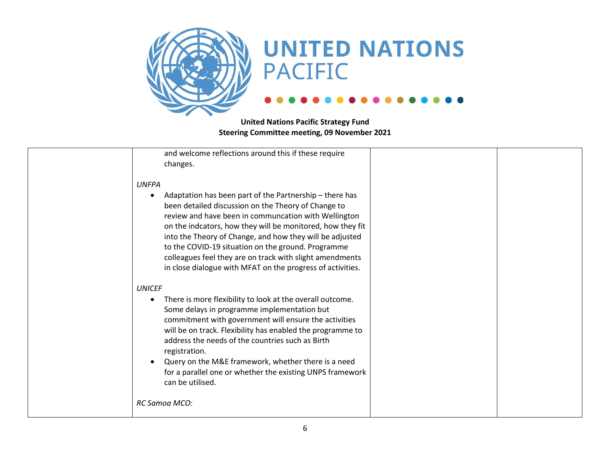

| and welcome reflections around this if these require<br>changes.                                                                                                                                                                                                                                                                                                                                                                                                                                      |
|-------------------------------------------------------------------------------------------------------------------------------------------------------------------------------------------------------------------------------------------------------------------------------------------------------------------------------------------------------------------------------------------------------------------------------------------------------------------------------------------------------|
| <b>UNFPA</b><br>Adaptation has been part of the Partnership - there has<br>٠<br>been detailed discussion on the Theory of Change to<br>review and have been in communcation with Wellington<br>on the indcators, how they will be monitored, how they fit<br>into the Theory of Change, and how they will be adjusted<br>to the COVID-19 situation on the ground. Programme<br>colleagues feel they are on track with slight amendments<br>in close dialogue with MFAT on the progress of activities. |
| <b>UNICEF</b><br>There is more flexibility to look at the overall outcome.<br>$\bullet$<br>Some delays in programme implementation but<br>commitment with government will ensure the activities<br>will be on track. Flexibility has enabled the programme to<br>address the needs of the countries such as Birth<br>registration.<br>Query on the M&E framework, whether there is a need<br>for a parallel one or whether the existing UNPS framework<br>can be utilised.                            |
| RC Samoa MCO:                                                                                                                                                                                                                                                                                                                                                                                                                                                                                         |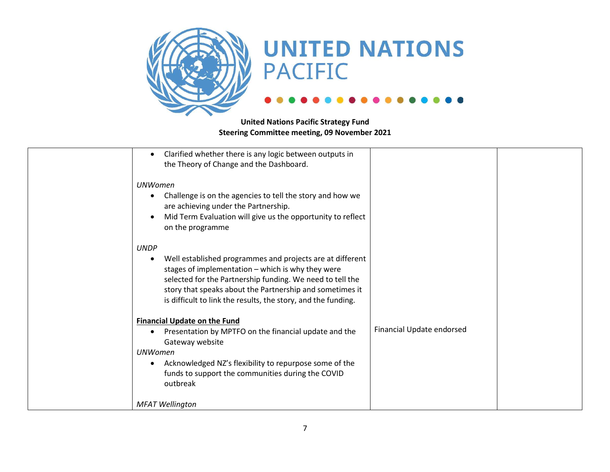

| Clarified whether there is any logic between outputs in<br>the Theory of Change and the Dashboard.                                                                                                                                                                                                                      |                           |  |
|-------------------------------------------------------------------------------------------------------------------------------------------------------------------------------------------------------------------------------------------------------------------------------------------------------------------------|---------------------------|--|
| <b>UNWomen</b><br>Challenge is on the agencies to tell the story and how we<br>are achieving under the Partnership.<br>Mid Term Evaluation will give us the opportunity to reflect<br>on the programme                                                                                                                  |                           |  |
| <b>UNDP</b><br>Well established programmes and projects are at different<br>stages of implementation - which is why they were<br>selected for the Partnership funding. We need to tell the<br>story that speaks about the Partnership and sometimes it<br>is difficult to link the results, the story, and the funding. |                           |  |
| <b>Financial Update on the Fund</b><br>Presentation by MPTFO on the financial update and the<br>Gateway website<br><b>UNWomen</b><br>Acknowledged NZ's flexibility to repurpose some of the<br>$\bullet$<br>funds to support the communities during the COVID<br>outbreak                                               | Financial Update endorsed |  |
| <b>MFAT Wellington</b>                                                                                                                                                                                                                                                                                                  |                           |  |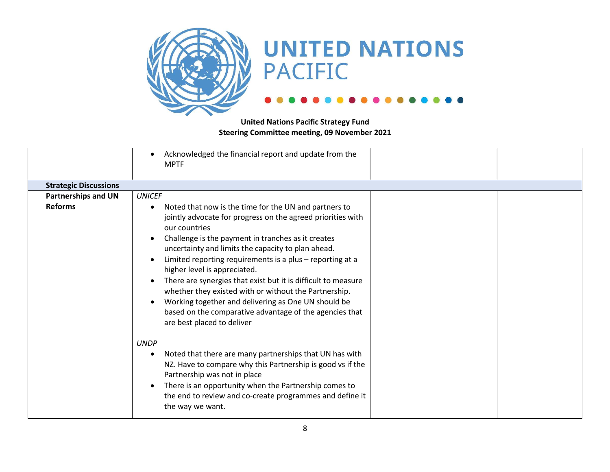

|                              | Acknowledged the financial report and update from the<br><b>MPTF</b>                                                                                                                                                                                                                                                                                                                                                                                                                                                                                                                                                                  |  |
|------------------------------|---------------------------------------------------------------------------------------------------------------------------------------------------------------------------------------------------------------------------------------------------------------------------------------------------------------------------------------------------------------------------------------------------------------------------------------------------------------------------------------------------------------------------------------------------------------------------------------------------------------------------------------|--|
| <b>Strategic Discussions</b> |                                                                                                                                                                                                                                                                                                                                                                                                                                                                                                                                                                                                                                       |  |
| <b>Partnerships and UN</b>   | <b>UNICEF</b>                                                                                                                                                                                                                                                                                                                                                                                                                                                                                                                                                                                                                         |  |
| <b>Reforms</b>               | Noted that now is the time for the UN and partners to<br>$\bullet$<br>jointly advocate for progress on the agreed priorities with<br>our countries<br>Challenge is the payment in tranches as it creates<br>uncertainty and limits the capacity to plan ahead.<br>Limited reporting requirements is a plus - reporting at a<br>higher level is appreciated.<br>There are synergies that exist but it is difficult to measure<br>whether they existed with or without the Partnership.<br>Working together and delivering as One UN should be<br>based on the comparative advantage of the agencies that<br>are best placed to deliver |  |
|                              | <b>UNDP</b><br>Noted that there are many partnerships that UN has with<br>NZ. Have to compare why this Partnership is good vs if the<br>Partnership was not in place<br>There is an opportunity when the Partnership comes to<br>the end to review and co-create programmes and define it<br>the way we want.                                                                                                                                                                                                                                                                                                                         |  |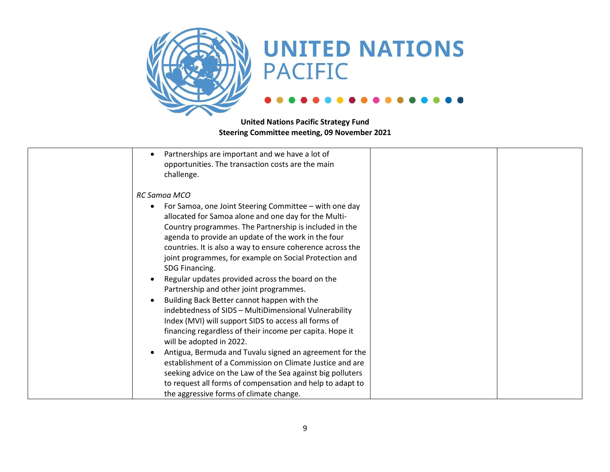

| Partnerships are important and we have a lot of            |  |
|------------------------------------------------------------|--|
| opportunities. The transaction costs are the main          |  |
| challenge.                                                 |  |
|                                                            |  |
| <b>RC Samoa MCO</b>                                        |  |
| For Samoa, one Joint Steering Committee - with one day     |  |
| allocated for Samoa alone and one day for the Multi-       |  |
| Country programmes. The Partnership is included in the     |  |
| agenda to provide an update of the work in the four        |  |
| countries. It is also a way to ensure coherence across the |  |
| joint programmes, for example on Social Protection and     |  |
| SDG Financing.                                             |  |
| Regular updates provided across the board on the           |  |
| Partnership and other joint programmes.                    |  |
| Building Back Better cannot happen with the                |  |
| indebtedness of SIDS - MultiDimensional Vulnerability      |  |
| Index (MVI) will support SIDS to access all forms of       |  |
| financing regardless of their income per capita. Hope it   |  |
| will be adopted in 2022.                                   |  |
| Antigua, Bermuda and Tuvalu signed an agreement for the    |  |
| establishment of a Commission on Climate Justice and are   |  |
| seeking advice on the Law of the Sea against big polluters |  |
| to request all forms of compensation and help to adapt to  |  |
| the aggressive forms of climate change.                    |  |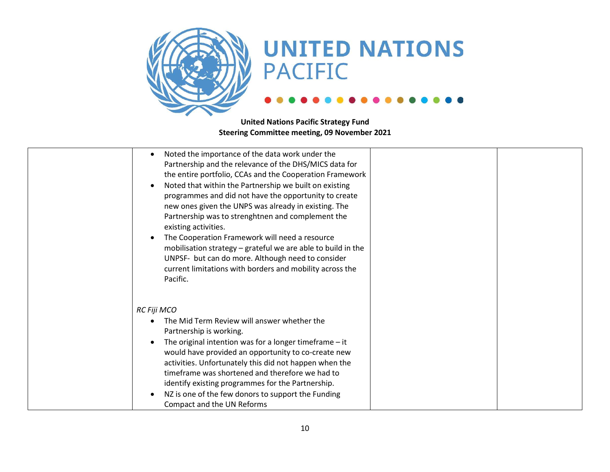

| Noted the importance of the data work under the<br>Partnership and the relevance of the DHS/MICS data for<br>the entire portfolio, CCAs and the Cooperation Framework<br>Noted that within the Partnership we built on existing<br>programmes and did not have the opportunity to create<br>new ones given the UNPS was already in existing. The<br>Partnership was to strenghtnen and complement the<br>existing activities.<br>The Cooperation Framework will need a resource<br>mobilisation strategy - grateful we are able to build in the<br>UNPSF- but can do more. Although need to consider<br>current limitations with borders and mobility across the<br>Pacific. |  |
|------------------------------------------------------------------------------------------------------------------------------------------------------------------------------------------------------------------------------------------------------------------------------------------------------------------------------------------------------------------------------------------------------------------------------------------------------------------------------------------------------------------------------------------------------------------------------------------------------------------------------------------------------------------------------|--|
| RC Fiji MCO<br>The Mid Term Review will answer whether the<br>Partnership is working.<br>The original intention was for a longer timeframe $-$ it<br>would have provided an opportunity to co-create new<br>activities. Unfortunately this did not happen when the<br>timeframe was shortened and therefore we had to<br>identify existing programmes for the Partnership.<br>NZ is one of the few donors to support the Funding<br>Compact and the UN Reforms                                                                                                                                                                                                               |  |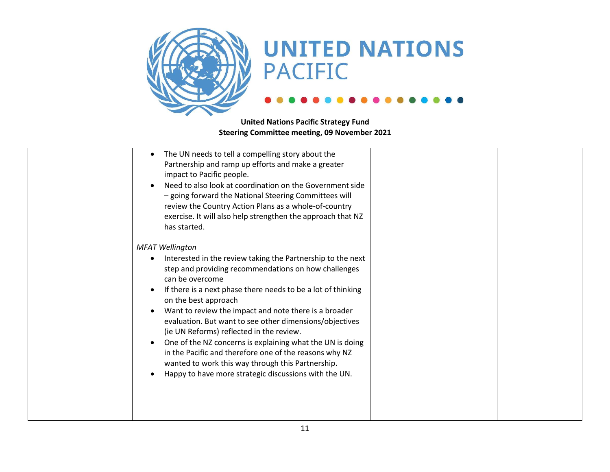

| The UN needs to tell a compelling story about the<br>$\bullet$<br>Partnership and ramp up efforts and make a greater<br>impact to Pacific people.<br>Need to also look at coordination on the Government side<br>$\bullet$<br>- going forward the National Steering Committees will<br>review the Country Action Plans as a whole-of-country<br>exercise. It will also help strengthen the approach that NZ<br>has started.                                                                                                                                                                                                                                                                                       |  |
|-------------------------------------------------------------------------------------------------------------------------------------------------------------------------------------------------------------------------------------------------------------------------------------------------------------------------------------------------------------------------------------------------------------------------------------------------------------------------------------------------------------------------------------------------------------------------------------------------------------------------------------------------------------------------------------------------------------------|--|
| <b>MFAT Wellington</b><br>Interested in the review taking the Partnership to the next<br>step and providing recommendations on how challenges<br>can be overcome<br>If there is a next phase there needs to be a lot of thinking<br>$\bullet$<br>on the best approach<br>Want to review the impact and note there is a broader<br>$\bullet$<br>evaluation. But want to see other dimensions/objectives<br>(ie UN Reforms) reflected in the review.<br>One of the NZ concerns is explaining what the UN is doing<br>$\bullet$<br>in the Pacific and therefore one of the reasons why NZ<br>wanted to work this way through this Partnership.<br>Happy to have more strategic discussions with the UN.<br>$\bullet$ |  |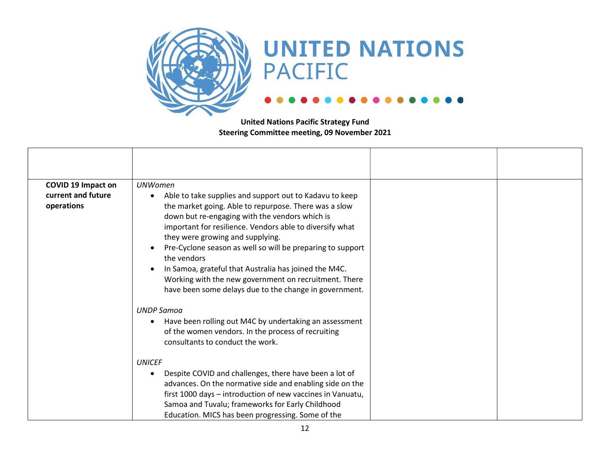

| <b>COVID 19 Impact on</b>        | <b>UNWomen</b>                                                                                                                                                                                                                                                                                                                                                                                                                                                                                                              |  |
|----------------------------------|-----------------------------------------------------------------------------------------------------------------------------------------------------------------------------------------------------------------------------------------------------------------------------------------------------------------------------------------------------------------------------------------------------------------------------------------------------------------------------------------------------------------------------|--|
| current and future<br>operations | Able to take supplies and support out to Kadavu to keep<br>the market going. Able to repurpose. There was a slow<br>down but re-engaging with the vendors which is<br>important for resilience. Vendors able to diversify what<br>they were growing and supplying.<br>Pre-Cyclone season as well so will be preparing to support<br>the vendors<br>In Samoa, grateful that Australia has joined the M4C.<br>Working with the new government on recruitment. There<br>have been some delays due to the change in government. |  |
|                                  | <b>UNDP Samoa</b><br>Have been rolling out M4C by undertaking an assessment<br>$\bullet$<br>of the women vendors. In the process of recruiting<br>consultants to conduct the work.                                                                                                                                                                                                                                                                                                                                          |  |
|                                  | <b>UNICEF</b><br>Despite COVID and challenges, there have been a lot of<br>advances. On the normative side and enabling side on the<br>first 1000 days - introduction of new vaccines in Vanuatu,<br>Samoa and Tuvalu; frameworks for Early Childhood<br>Education. MICS has been progressing. Some of the                                                                                                                                                                                                                  |  |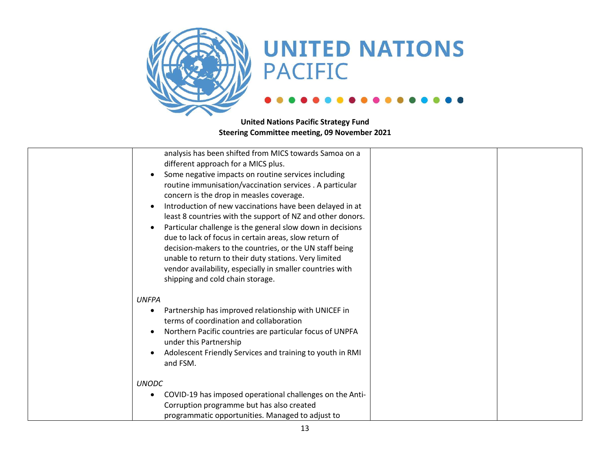

| analysis has been shifted from MICS towards Samoa on a<br>different approach for a MICS plus.<br>Some negative impacts on routine services including<br>routine immunisation/vaccination services . A particular<br>concern is the drop in measles coverage.<br>Introduction of new vaccinations have been delayed in at<br>least 8 countries with the support of NZ and other donors.<br>Particular challenge is the general slow down in decisions<br>due to lack of focus in certain areas, slow return of<br>decision-makers to the countries, or the UN staff being<br>unable to return to their duty stations. Very limited<br>vendor availability, especially in smaller countries with<br>shipping and cold chain storage. |  |
|------------------------------------------------------------------------------------------------------------------------------------------------------------------------------------------------------------------------------------------------------------------------------------------------------------------------------------------------------------------------------------------------------------------------------------------------------------------------------------------------------------------------------------------------------------------------------------------------------------------------------------------------------------------------------------------------------------------------------------|--|
| <b>UNFPA</b><br>Partnership has improved relationship with UNICEF in<br>terms of coordination and collaboration<br>Northern Pacific countries are particular focus of UNPFA<br>under this Partnership<br>Adolescent Friendly Services and training to youth in RMI<br>and FSM.                                                                                                                                                                                                                                                                                                                                                                                                                                                     |  |
| <b>UNODC</b><br>COVID-19 has imposed operational challenges on the Anti-<br>Corruption programme but has also created<br>programmatic opportunities. Managed to adjust to                                                                                                                                                                                                                                                                                                                                                                                                                                                                                                                                                          |  |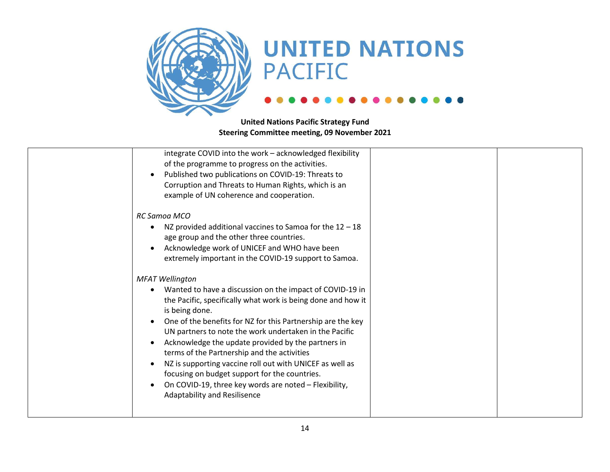

| integrate COVID into the work - acknowledged flexibility<br>of the programme to progress on the activities.<br>Published two publications on COVID-19: Threats to<br>Corruption and Threats to Human Rights, which is an<br>example of UN coherence and cooperation.                                                                                                                                                                                                                                                                                                                                     |
|----------------------------------------------------------------------------------------------------------------------------------------------------------------------------------------------------------------------------------------------------------------------------------------------------------------------------------------------------------------------------------------------------------------------------------------------------------------------------------------------------------------------------------------------------------------------------------------------------------|
| <b>RC Samoa MCO</b><br>NZ provided additional vaccines to Samoa for the $12 - 18$<br>age group and the other three countries.<br>Acknowledge work of UNICEF and WHO have been<br>extremely important in the COVID-19 support to Samoa.                                                                                                                                                                                                                                                                                                                                                                   |
| <b>MFAT Wellington</b><br>Wanted to have a discussion on the impact of COVID-19 in<br>the Pacific, specifically what work is being done and how it<br>is being done.<br>One of the benefits for NZ for this Partnership are the key<br>UN partners to note the work undertaken in the Pacific<br>Acknowledge the update provided by the partners in<br>terms of the Partnership and the activities<br>NZ is supporting vaccine roll out with UNICEF as well as<br>focusing on budget support for the countries.<br>On COVID-19, three key words are noted - Flexibility,<br>Adaptability and Resilisence |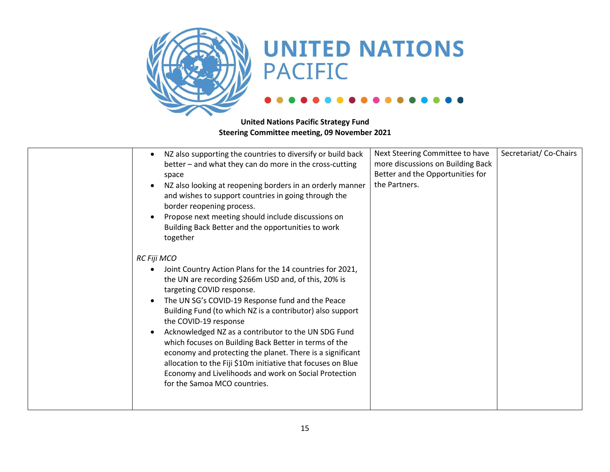

| NZ also supporting the countries to diversify or build back<br>better - and what they can do more in the cross-cutting<br>space<br>NZ also looking at reopening borders in an orderly manner<br>and wishes to support countries in going through the<br>border reopening process.<br>Propose next meeting should include discussions on<br>Building Back Better and the opportunities to work<br>together                                                                                                                                                                                                                                     | Next Steering Committee to have<br>more discussions on Building Back<br>Better and the Opportunities for<br>the Partners. | Secretariat/Co-Chairs |
|-----------------------------------------------------------------------------------------------------------------------------------------------------------------------------------------------------------------------------------------------------------------------------------------------------------------------------------------------------------------------------------------------------------------------------------------------------------------------------------------------------------------------------------------------------------------------------------------------------------------------------------------------|---------------------------------------------------------------------------------------------------------------------------|-----------------------|
| RC Fiji MCO<br>Joint Country Action Plans for the 14 countries for 2021,<br>the UN are recording \$266m USD and, of this, 20% is<br>targeting COVID response.<br>The UN SG's COVID-19 Response fund and the Peace<br>Building Fund (to which NZ is a contributor) also support<br>the COVID-19 response<br>Acknowledged NZ as a contributor to the UN SDG Fund<br>which focuses on Building Back Better in terms of the<br>economy and protecting the planet. There is a significant<br>allocation to the Fiji \$10m initiative that focuses on Blue<br>Economy and Livelihoods and work on Social Protection<br>for the Samoa MCO countries. |                                                                                                                           |                       |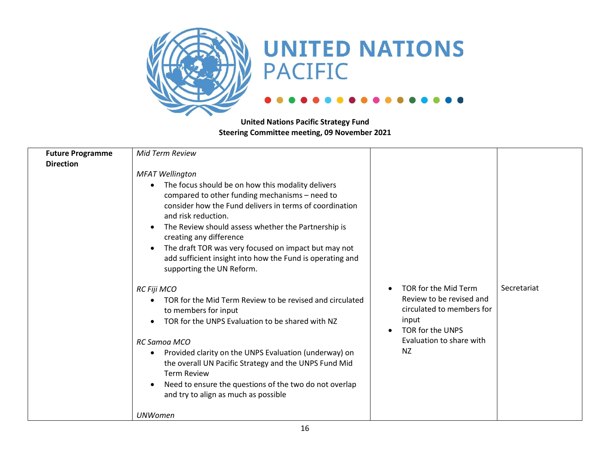

| <b>Future Programme</b><br><b>Direction</b> | <b>Mid Term Review</b><br><b>MFAT Wellington</b><br>The focus should be on how this modality delivers<br>compared to other funding mechanisms - need to<br>consider how the Fund delivers in terms of coordination<br>and risk reduction.<br>The Review should assess whether the Partnership is<br>creating any difference<br>The draft TOR was very focused on impact but may not<br>add sufficient insight into how the Fund is operating and<br>supporting the UN Reform. |                                                                                                                                               |             |
|---------------------------------------------|-------------------------------------------------------------------------------------------------------------------------------------------------------------------------------------------------------------------------------------------------------------------------------------------------------------------------------------------------------------------------------------------------------------------------------------------------------------------------------|-----------------------------------------------------------------------------------------------------------------------------------------------|-------------|
|                                             | RC Fiji MCO<br>TOR for the Mid Term Review to be revised and circulated<br>to members for input<br>TOR for the UNPS Evaluation to be shared with NZ<br>RC Samoa MCO<br>Provided clarity on the UNPS Evaluation (underway) on<br>$\bullet$<br>the overall UN Pacific Strategy and the UNPS Fund Mid<br><b>Term Review</b><br>Need to ensure the questions of the two do not overlap<br>and try to align as much as possible                                                    | TOR for the Mid Term<br>Review to be revised and<br>circulated to members for<br>input<br>TOR for the UNPS<br>Evaluation to share with<br>NZ. | Secretariat |
|                                             | <b>UNWomen</b>                                                                                                                                                                                                                                                                                                                                                                                                                                                                |                                                                                                                                               |             |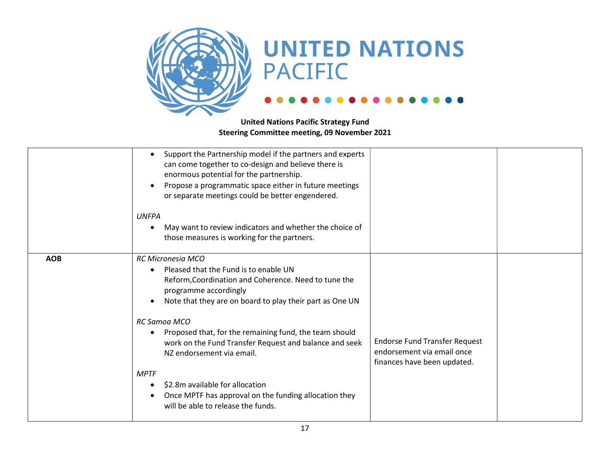

|            | Support the Partnership model if the partners and experts<br>can come together to co-design and believe there is<br>enormous potential for the partnership.<br>Propose a programmatic space either in future meetings<br>or separate meetings could be better engendered.<br><b>UNFPA</b><br>May want to review indicators and whether the choice of<br>those measures is working for the partners.                                                                                                                                                                                                                                                |  |
|------------|----------------------------------------------------------------------------------------------------------------------------------------------------------------------------------------------------------------------------------------------------------------------------------------------------------------------------------------------------------------------------------------------------------------------------------------------------------------------------------------------------------------------------------------------------------------------------------------------------------------------------------------------------|--|
| <b>AOB</b> | <b>RC Micronesia MCO</b><br>Pleased that the Fund is to enable UN<br>$\bullet$<br>Reform, Coordination and Coherence. Need to tune the<br>programme accordingly<br>Note that they are on board to play their part as One UN<br>RC Samoa MCO<br>Proposed that, for the remaining fund, the team should<br><b>Endorse Fund Transfer Request</b><br>work on the Fund Transfer Request and balance and seek<br>endorsement via email once<br>NZ endorsement via email.<br>finances have been updated.<br><b>MPTF</b><br>\$2.8m available for allocation<br>Once MPTF has approval on the funding allocation they<br>will be able to release the funds. |  |